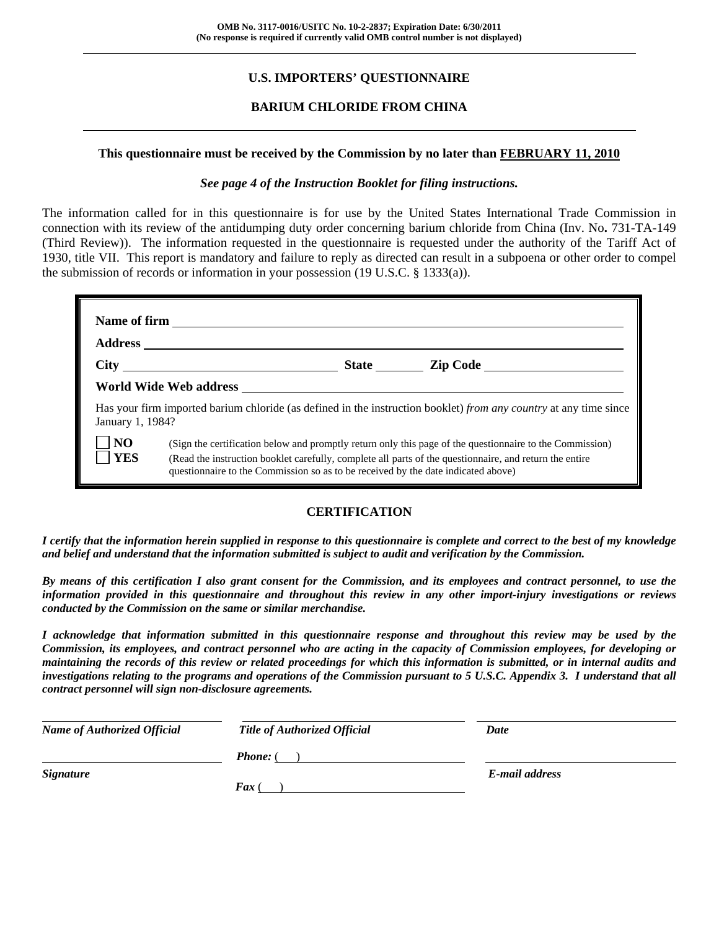# **U.S. IMPORTERS' QUESTIONNAIRE**

# **BARIUM CHLORIDE FROM CHINA**

#### **This questionnaire must be received by the Commission by no later than FEBRUARY 11, 2010**

#### *See page 4 of the Instruction Booklet for filing instructions.*

The information called for in this questionnaire is for use by the United States International Trade Commission in connection with its review of the antidumping duty order concerning barium chloride from China (Inv. No**.** 731-TA-149 (Third Review)). The information requested in the questionnaire is requested under the authority of the Tariff Act of 1930, title VII. This report is mandatory and failure to reply as directed can result in a subpoena or other order to compel the submission of records or information in your possession (19 U.S.C. § 1333(a)).

|                              | World Wide Web address                                                            |                                                                                                                                                                                                                     |
|------------------------------|-----------------------------------------------------------------------------------|---------------------------------------------------------------------------------------------------------------------------------------------------------------------------------------------------------------------|
| January 1, 1984?             |                                                                                   | Has your firm imported barium chloride (as defined in the instruction booklet) from any country at any time since                                                                                                   |
| N <sub>O</sub><br><b>YES</b> | questionnaire to the Commission so as to be received by the date indicated above) | (Sign the certification below and promptly return only this page of the questionnaire to the Commission)<br>(Read the instruction booklet carefully, complete all parts of the questionnaire, and return the entire |

### **CERTIFICATION**

*I certify that the information herein supplied in response to this questionnaire is complete and correct to the best of my knowledge and belief and understand that the information submitted is subject to audit and verification by the Commission.* 

*By means of this certification I also grant consent for the Commission, and its employees and contract personnel, to use the information provided in this questionnaire and throughout this review in any other import-injury investigations or reviews conducted by the Commission on the same or similar merchandise.* 

*I acknowledge that information submitted in this questionnaire response and throughout this review may be used by the Commission, its employees, and contract personnel who are acting in the capacity of Commission employees, for developing or maintaining the records of this review or related proceedings for which this information is submitted, or in internal audits and investigations relating to the programs and operations of the Commission pursuant to 5 U.S.C. Appendix 3. I understand that all contract personnel will sign non-disclosure agreements.* 

| <b>Name of Authorized Official</b> | <b>Title of Authorized Official</b> | Date           |  |
|------------------------------------|-------------------------------------|----------------|--|
|                                    | <b>Phone:</b> (                     |                |  |
| <b>Signature</b>                   | <b>Fax</b> (                        | E-mail address |  |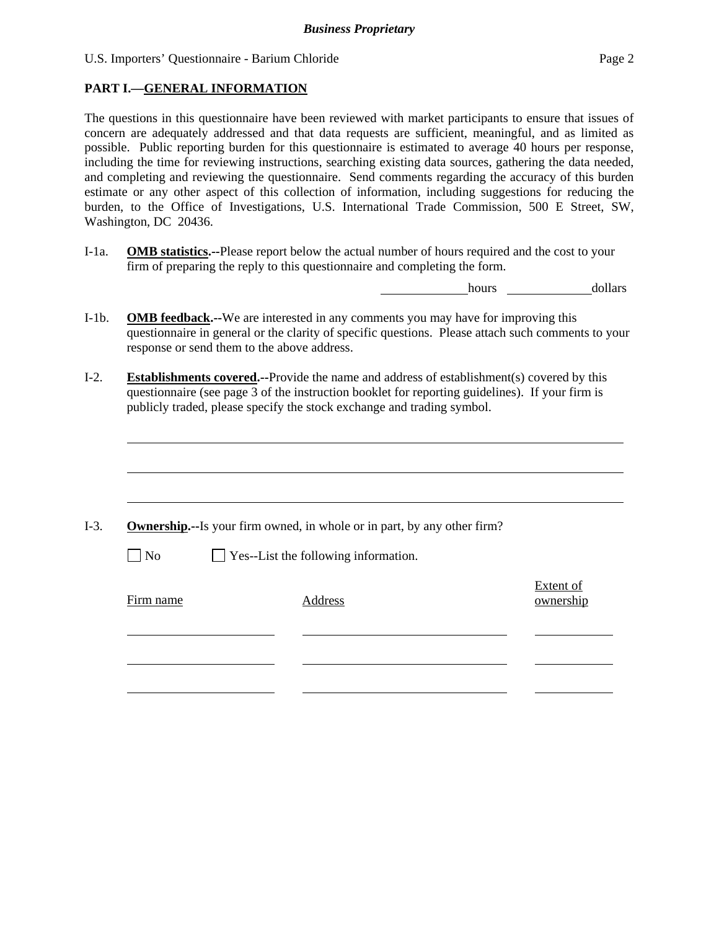# **PART I.—GENERAL INFORMATION**

 $\overline{a}$ 

The questions in this questionnaire have been reviewed with market participants to ensure that issues of concern are adequately addressed and that data requests are sufficient, meaningful, and as limited as possible. Public reporting burden for this questionnaire is estimated to average 40 hours per response, including the time for reviewing instructions, searching existing data sources, gathering the data needed, and completing and reviewing the questionnaire. Send comments regarding the accuracy of this burden estimate or any other aspect of this collection of information, including suggestions for reducing the burden, to the Office of Investigations, U.S. International Trade Commission, 500 E Street, SW, Washington, DC 20436.

I-1a. **OMB statistics.--**Please report below the actual number of hours required and the cost to your firm of preparing the reply to this questionnaire and completing the form.

hours dollars

- I-1b. **OMB feedback.--**We are interested in any comments you may have for improving this questionnaire in general or the clarity of specific questions. Please attach such comments to your response or send them to the above address.
- I-2. **Establishments covered.--**Provide the name and address of establishment(s) covered by this questionnaire (see page 3 of the instruction booklet for reporting guidelines). If your firm is publicly traded, please specify the stock exchange and trading symbol.

|           | <b>Ownership.</b> --Is your firm owned, in whole or in part, by any other firm? |           |
|-----------|---------------------------------------------------------------------------------|-----------|
| $\Box$ No | $\Box$ Yes--List the following information.                                     |           |
|           |                                                                                 | Extent of |
| Firm name | Address                                                                         | ownership |
|           |                                                                                 |           |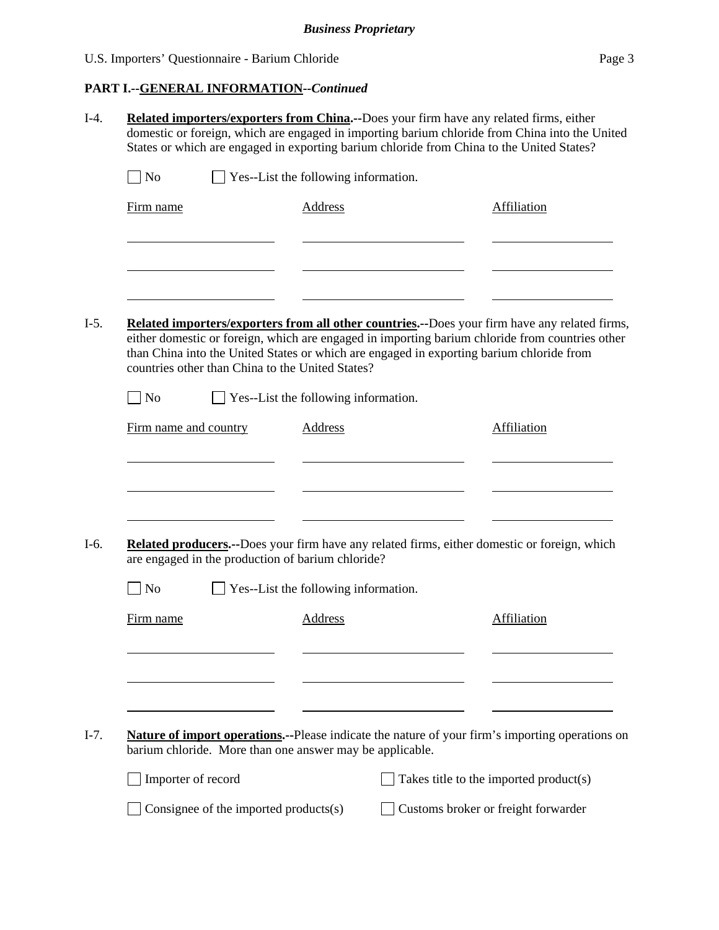# **PART I.--GENERAL INFORMATION***--Continued*

| $\Box$ No             |                                                   | $\Box$ Yes--List the following information.              |                                                                                                                                                                                                                                                                                              |
|-----------------------|---------------------------------------------------|----------------------------------------------------------|----------------------------------------------------------------------------------------------------------------------------------------------------------------------------------------------------------------------------------------------------------------------------------------------|
| Firm name             |                                                   | <b>Address</b>                                           | Affiliation                                                                                                                                                                                                                                                                                  |
|                       |                                                   |                                                          |                                                                                                                                                                                                                                                                                              |
|                       |                                                   |                                                          |                                                                                                                                                                                                                                                                                              |
|                       | countries other than China to the United States?  |                                                          | Related importers/exporters from all other countries.--Does your firm have any related firms,<br>either domestic or foreign, which are engaged in importing barium chloride from countries other<br>than China into the United States or which are engaged in exporting barium chloride from |
| $\Box$ No             |                                                   | $\Box$ Yes--List the following information.              |                                                                                                                                                                                                                                                                                              |
| Firm name and country |                                                   | Address                                                  | Affiliation                                                                                                                                                                                                                                                                                  |
|                       | are engaged in the production of barium chloride? |                                                          | Related producers.--Does your firm have any related firms, either domestic or foreign, which                                                                                                                                                                                                 |
|                       |                                                   | Yes--List the following information.                     |                                                                                                                                                                                                                                                                                              |
| N <sub>o</sub>        |                                                   | Address                                                  | Affiliation                                                                                                                                                                                                                                                                                  |
| Firm name             |                                                   |                                                          |                                                                                                                                                                                                                                                                                              |
|                       |                                                   |                                                          |                                                                                                                                                                                                                                                                                              |
|                       |                                                   |                                                          |                                                                                                                                                                                                                                                                                              |
|                       |                                                   | barium chloride. More than one answer may be applicable. |                                                                                                                                                                                                                                                                                              |
| Importer of record    |                                                   |                                                          | Nature of import operations.--Please indicate the nature of your firm's importing operations on<br>Takes title to the imported product(s)                                                                                                                                                    |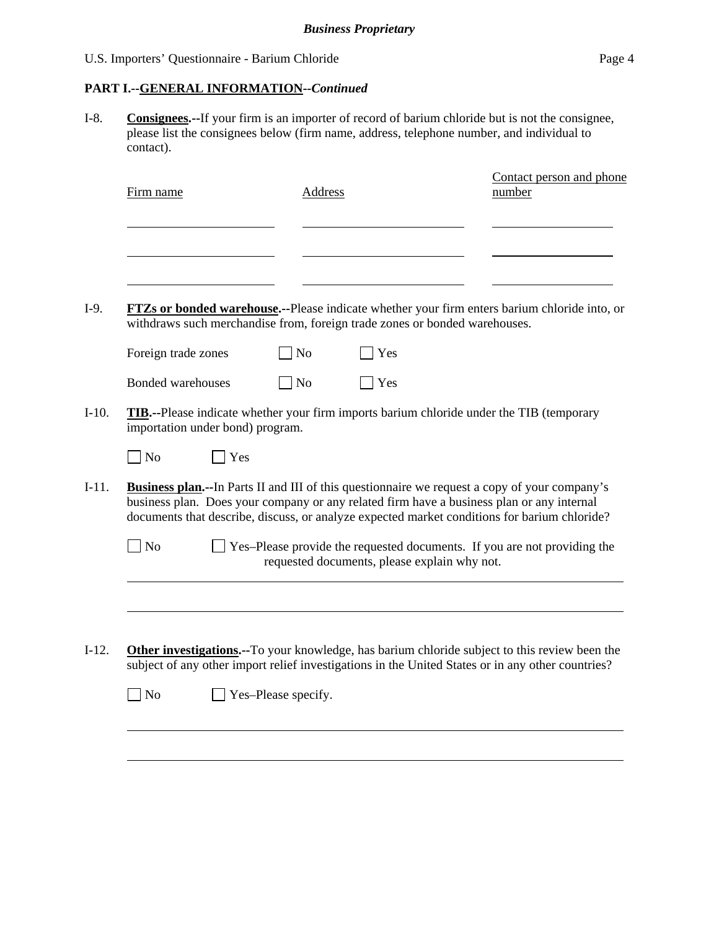# **PART I.--GENERAL INFORMATION***--Continued*

I-8. **Consignees.--**If your firm is an importer of record of barium chloride but is not the consignee, please list the consignees below (firm name, address, telephone number, and individual to contact).

| Firm name                        |     | Address        |                                                                            | Contact person and phone<br>number                                                                                                                                                                                                                                                                 |
|----------------------------------|-----|----------------|----------------------------------------------------------------------------|----------------------------------------------------------------------------------------------------------------------------------------------------------------------------------------------------------------------------------------------------------------------------------------------------|
|                                  |     |                |                                                                            |                                                                                                                                                                                                                                                                                                    |
|                                  |     |                | withdraws such merchandise from, foreign trade zones or bonded warehouses. | FTZs or bonded warehouse.--Please indicate whether your firm enters barium chloride into, or                                                                                                                                                                                                       |
| Foreign trade zones              |     | N <sub>o</sub> | Yes                                                                        |                                                                                                                                                                                                                                                                                                    |
| <b>Bonded warehouses</b>         |     | N <sub>o</sub> | Yes                                                                        |                                                                                                                                                                                                                                                                                                    |
| importation under bond) program. |     |                |                                                                            | <b>TIB.</b> --Please indicate whether your firm imports barium chloride under the TIB (temporary                                                                                                                                                                                                   |
| N <sub>o</sub>                   | Yes |                |                                                                            |                                                                                                                                                                                                                                                                                                    |
|                                  |     |                |                                                                            | <b>Business plan.</b> --In Parts II and III of this questionnaire we request a copy of your company's<br>business plan. Does your company or any related firm have a business plan or any internal<br>documents that describe, discuss, or analyze expected market conditions for barium chloride? |
|                                  |     |                |                                                                            |                                                                                                                                                                                                                                                                                                    |
| N <sub>o</sub>                   |     |                | requested documents, please explain why not.                               |                                                                                                                                                                                                                                                                                                    |
|                                  |     |                |                                                                            | Yes-Please provide the requested documents. If you are not providing the                                                                                                                                                                                                                           |
|                                  |     |                |                                                                            | <b>Other investigations.</b> --To your knowledge, has barium chloride subject to this review been the<br>subject of any other import relief investigations in the United States or in any other countries?                                                                                         |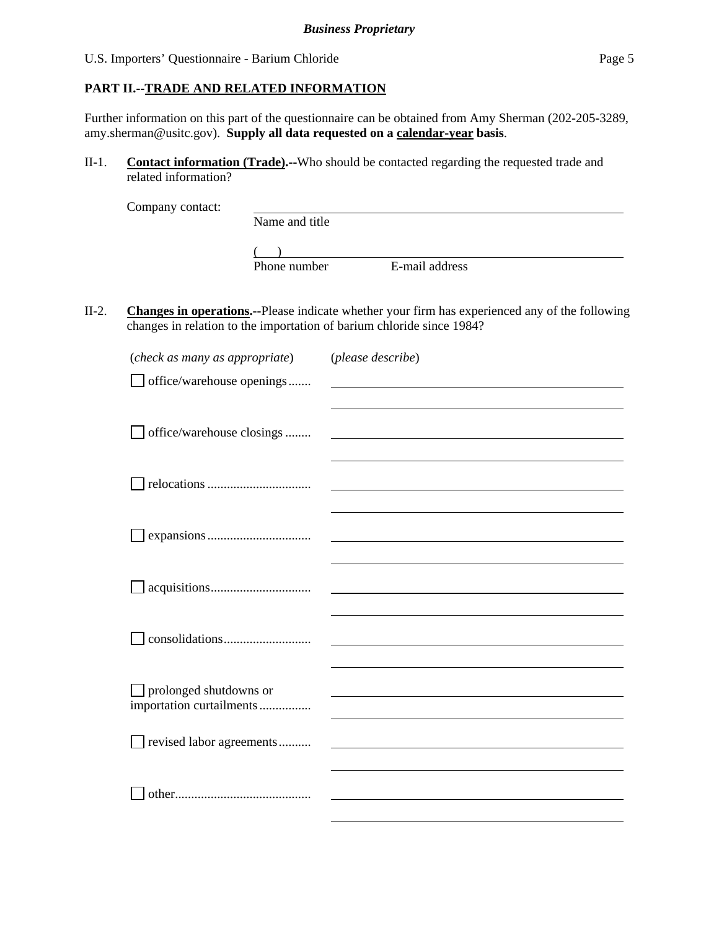# **PART II.--TRADE AND RELATED INFORMATION**

Further information on this part of the questionnaire can be obtained from Amy Sherman (202-205-3289, amy.sherman@usitc.gov). **Supply all data requested on a calendar-year basis**.

II-1. **Contact information (Trade).--**Who should be contacted regarding the requested trade and related information?

| Company contact: |                |                |  |
|------------------|----------------|----------------|--|
|                  | Name and title |                |  |
|                  |                |                |  |
|                  | Phone number   | E-mail address |  |

II-2. **Changes in operations.--**Please indicate whether your firm has experienced any of the following changes in relation to the importation of barium chloride since 1984?

| (check as many as appropriate)                     | (please describe) |
|----------------------------------------------------|-------------------|
| office/warehouse openings                          |                   |
|                                                    |                   |
|                                                    |                   |
| office/warehouse closings                          |                   |
|                                                    |                   |
|                                                    |                   |
|                                                    |                   |
|                                                    |                   |
|                                                    |                   |
|                                                    |                   |
|                                                    |                   |
|                                                    |                   |
|                                                    |                   |
|                                                    |                   |
|                                                    |                   |
| prolonged shutdowns or<br>importation curtailments |                   |
|                                                    |                   |
| revised labor agreements                           |                   |
|                                                    |                   |
|                                                    |                   |
|                                                    |                   |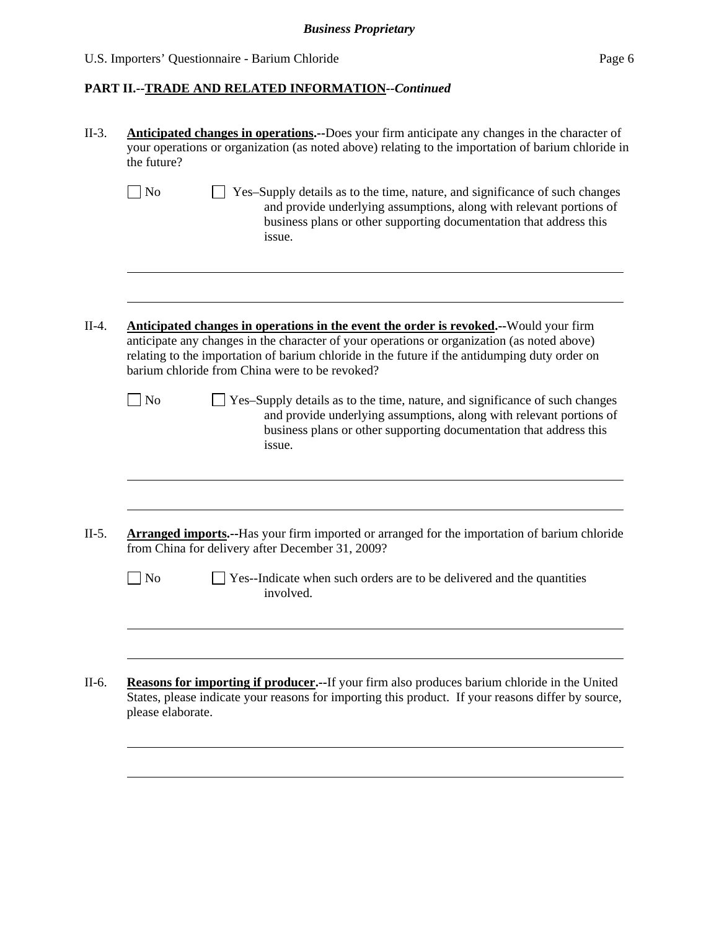# *Business Proprietary*

# U.S. Importers' Questionnaire - Barium Chloride Page 6

# **PART II.--TRADE AND RELATED INFORMATION***--Continued*

| the future?       | <b>Anticipated changes in operations.</b> --Does your firm anticipate any changes in the character of<br>your operations or organization (as noted above) relating to the importation of barium chloride in                                                                                                                             |
|-------------------|-----------------------------------------------------------------------------------------------------------------------------------------------------------------------------------------------------------------------------------------------------------------------------------------------------------------------------------------|
| $\Box$ No         | Yes-Supply details as to the time, nature, and significance of such changes<br>and provide underlying assumptions, along with relevant portions of<br>business plans or other supporting documentation that address this<br>issue.                                                                                                      |
|                   | Anticipated changes in operations in the event the order is revoked.--Would your firm<br>anticipate any changes in the character of your operations or organization (as noted above)<br>relating to the importation of barium chloride in the future if the antidumping duty order on<br>barium chloride from China were to be revoked? |
| $\Box$ No         | Yes-Supply details as to the time, nature, and significance of such changes<br>and provide underlying assumptions, along with relevant portions of<br>business plans or other supporting documentation that address this<br>issue.                                                                                                      |
|                   | <b>Arranged imports.</b> --Has your firm imported or arranged for the importation of barium chloride<br>from China for delivery after December 31, 2009?                                                                                                                                                                                |
| No                | Yes--Indicate when such orders are to be delivered and the quantities<br>involved.                                                                                                                                                                                                                                                      |
|                   |                                                                                                                                                                                                                                                                                                                                         |
| please elaborate. | Reasons for importing if producer.--If your firm also produces barium chloride in the United<br>States, please indicate your reasons for importing this product. If your reasons differ by source,                                                                                                                                      |
|                   |                                                                                                                                                                                                                                                                                                                                         |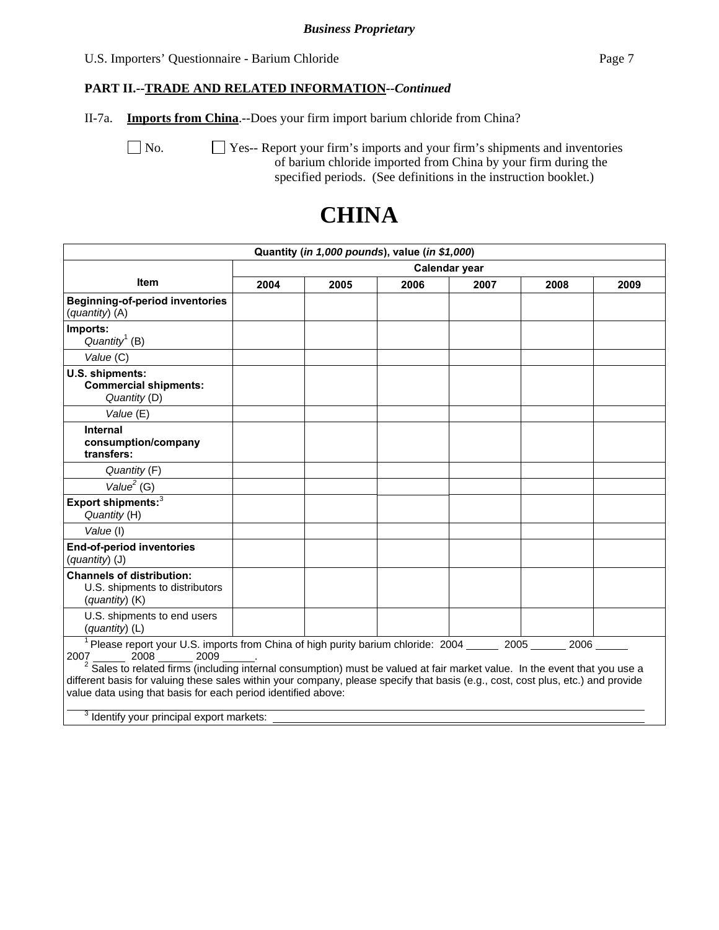### *Business Proprietary*

#### U.S. Importers' Questionnaire - Barium Chloride Page 7

# **PART II.--TRADE AND RELATED INFORMATION***--Continued*

II-7a. **Imports from China**.--Does your firm import barium chloride from China?

No.  $\Box$  Yes-- Report your firm's imports and your firm's shipments and inventories of barium chloride imported from China by your firm during the specified periods. (See definitions in the instruction booklet.)

# **CHINA**

|                                                                                                                                                                                                                                                                                                                                                                                                                                                                                                                                                            |               |      | Quantity (in 1,000 pounds), value (in \$1,000) |      |      |      |  |
|------------------------------------------------------------------------------------------------------------------------------------------------------------------------------------------------------------------------------------------------------------------------------------------------------------------------------------------------------------------------------------------------------------------------------------------------------------------------------------------------------------------------------------------------------------|---------------|------|------------------------------------------------|------|------|------|--|
|                                                                                                                                                                                                                                                                                                                                                                                                                                                                                                                                                            | Calendar year |      |                                                |      |      |      |  |
| <b>Item</b>                                                                                                                                                                                                                                                                                                                                                                                                                                                                                                                                                | 2004          | 2005 | 2006                                           | 2007 | 2008 | 2009 |  |
| <b>Beginning-of-period inventories</b><br>(quantity) (A)                                                                                                                                                                                                                                                                                                                                                                                                                                                                                                   |               |      |                                                |      |      |      |  |
| Imports:<br>Quantity <sup>1</sup> (B)                                                                                                                                                                                                                                                                                                                                                                                                                                                                                                                      |               |      |                                                |      |      |      |  |
| Value (C)                                                                                                                                                                                                                                                                                                                                                                                                                                                                                                                                                  |               |      |                                                |      |      |      |  |
| U.S. shipments:<br><b>Commercial shipments:</b><br>Quantity (D)<br>Value (E)                                                                                                                                                                                                                                                                                                                                                                                                                                                                               |               |      |                                                |      |      |      |  |
| <b>Internal</b><br>consumption/company<br>transfers:                                                                                                                                                                                                                                                                                                                                                                                                                                                                                                       |               |      |                                                |      |      |      |  |
| Quantity (F)                                                                                                                                                                                                                                                                                                                                                                                                                                                                                                                                               |               |      |                                                |      |      |      |  |
| Value <sup>2</sup> (G)                                                                                                                                                                                                                                                                                                                                                                                                                                                                                                                                     |               |      |                                                |      |      |      |  |
| Export shipments: <sup>3</sup><br>Quantity (H)                                                                                                                                                                                                                                                                                                                                                                                                                                                                                                             |               |      |                                                |      |      |      |  |
| Value (I)                                                                                                                                                                                                                                                                                                                                                                                                                                                                                                                                                  |               |      |                                                |      |      |      |  |
| <b>End-of-period inventories</b><br>(quantity) (J)                                                                                                                                                                                                                                                                                                                                                                                                                                                                                                         |               |      |                                                |      |      |      |  |
| <b>Channels of distribution:</b><br>U.S. shipments to distributors<br>$(quantity)$ (K)                                                                                                                                                                                                                                                                                                                                                                                                                                                                     |               |      |                                                |      |      |      |  |
| U.S. shipments to end users<br>(quantity) (L)                                                                                                                                                                                                                                                                                                                                                                                                                                                                                                              |               |      |                                                |      |      |      |  |
| <sup>1</sup> Please report your U.S. imports from China of high purity barium chloride: 2004 ______ 2005 ______ 2006 _____<br>2007 2008 2009<br>$2\overline{\text{Sales}}$ to related firms (including internal consumption) must be valued at fair market value. In the event that you use a<br>different basis for valuing these sales within your company, please specify that basis (e.g., cost, cost plus, etc.) and provide<br>value data using that basis for each period identified above:<br><sup>3</sup> Identify your principal export markets: |               |      |                                                |      |      |      |  |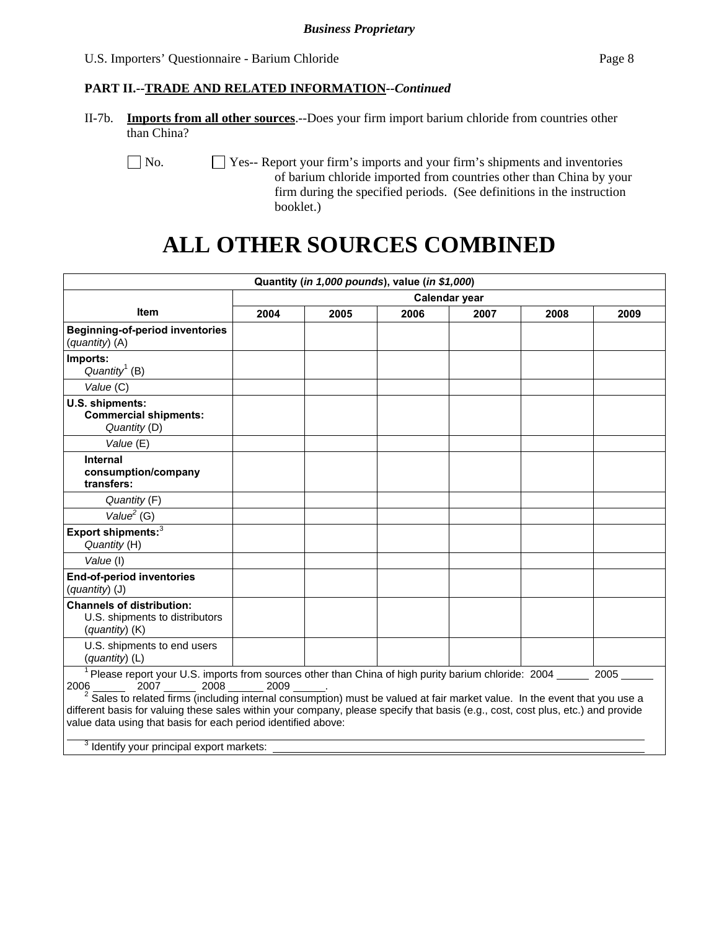# **PART II.--TRADE AND RELATED INFORMATION***--Continued*

II-7b. **Imports from all other sources**.--Does your firm import barium chloride from countries other than China?

No.  $\Box$  Yes-- Report your firm's imports and your firm's shipments and inventories of barium chloride imported from countries other than China by your firm during the specified periods. (See definitions in the instruction booklet.)

# **ALL OTHER SOURCES COMBINED**

|                                                                                                                                                                                                                                                                                                                                                                                                                                                                                                                                    |               |      | Quantity (in 1,000 pounds), value (in \$1,000) |      |      |      |  |
|------------------------------------------------------------------------------------------------------------------------------------------------------------------------------------------------------------------------------------------------------------------------------------------------------------------------------------------------------------------------------------------------------------------------------------------------------------------------------------------------------------------------------------|---------------|------|------------------------------------------------|------|------|------|--|
|                                                                                                                                                                                                                                                                                                                                                                                                                                                                                                                                    | Calendar year |      |                                                |      |      |      |  |
| <b>Item</b>                                                                                                                                                                                                                                                                                                                                                                                                                                                                                                                        | 2004          | 2005 | 2006                                           | 2007 | 2008 | 2009 |  |
| Beginning-of-period inventories<br>(quantity) (A)                                                                                                                                                                                                                                                                                                                                                                                                                                                                                  |               |      |                                                |      |      |      |  |
| Imports:<br>Quantity <sup>1</sup> (B)                                                                                                                                                                                                                                                                                                                                                                                                                                                                                              |               |      |                                                |      |      |      |  |
| Value (C)                                                                                                                                                                                                                                                                                                                                                                                                                                                                                                                          |               |      |                                                |      |      |      |  |
| U.S. shipments:<br><b>Commercial shipments:</b><br>Quantity (D)                                                                                                                                                                                                                                                                                                                                                                                                                                                                    |               |      |                                                |      |      |      |  |
| Value (E)                                                                                                                                                                                                                                                                                                                                                                                                                                                                                                                          |               |      |                                                |      |      |      |  |
| <b>Internal</b><br>consumption/company<br>transfers:                                                                                                                                                                                                                                                                                                                                                                                                                                                                               |               |      |                                                |      |      |      |  |
| Quantity (F)                                                                                                                                                                                                                                                                                                                                                                                                                                                                                                                       |               |      |                                                |      |      |      |  |
| Value <sup>2</sup> (G)                                                                                                                                                                                                                                                                                                                                                                                                                                                                                                             |               |      |                                                |      |      |      |  |
| Export shipments: $3$<br>Quantity (H)                                                                                                                                                                                                                                                                                                                                                                                                                                                                                              |               |      |                                                |      |      |      |  |
| Value (I)                                                                                                                                                                                                                                                                                                                                                                                                                                                                                                                          |               |      |                                                |      |      |      |  |
| <b>End-of-period inventories</b><br>$(quantity)$ (J)                                                                                                                                                                                                                                                                                                                                                                                                                                                                               |               |      |                                                |      |      |      |  |
| <b>Channels of distribution:</b><br>U.S. shipments to distributors<br>(quantity) (K)                                                                                                                                                                                                                                                                                                                                                                                                                                               |               |      |                                                |      |      |      |  |
| U.S. shipments to end users<br>(quantity) (L)                                                                                                                                                                                                                                                                                                                                                                                                                                                                                      |               |      |                                                |      |      |      |  |
| <sup>1</sup> Please report your U.S. imports from sources other than China of high purity barium chloride: 2004<br>2007 2008 2009<br>2006<br>Sales to related firms (including internal consumption) must be valued at fair market value. In the event that you use a<br>different basis for valuing these sales within your company, please specify that basis (e.g., cost, cost plus, etc.) and provide<br>value data using that basis for each period identified above:<br><sup>3</sup> Identify your principal export markets: |               |      |                                                |      |      | 2005 |  |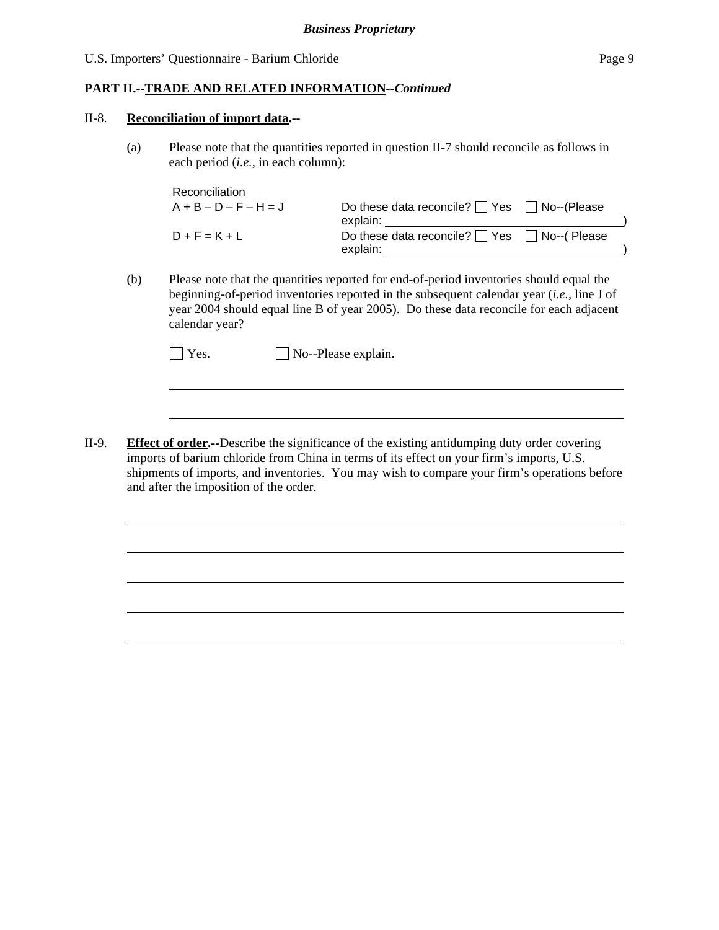# **PART II.--TRADE AND RELATED INFORMATION***--Continued*

#### II-8. **Reconciliation of import data.--**

l

 $\overline{a}$ 

(a) Please note that the quantities reported in question II-7 should reconcile as follows in each period (*i.e.*, in each column):

| Reconciliation          |                                                                    |  |
|-------------------------|--------------------------------------------------------------------|--|
| $A + B - D - F - H = J$ | Do these data reconcile? $\Box$ Yes $\Box$ No--(Please<br>explain: |  |
| $D + F = K + L$         | Do these data reconcile? $\Box$ Yes $\Box$ No--(Please<br>explain: |  |

(b) Please note that the quantities reported for end-of-period inventories should equal the beginning-of-period inventories reported in the subsequent calendar year (*i.e.*, line J of year 2004 should equal line B of year 2005). Do these data reconcile for each adjacent calendar year?

| $\Box$ Yes.<br>$\Box$ No--Please explain. |  |
|-------------------------------------------|--|
|-------------------------------------------|--|

II-9. **Effect of order.--**Describe the significance of the existing antidumping duty order covering imports of barium chloride from China in terms of its effect on your firm's imports, U.S. shipments of imports, and inventories. You may wish to compare your firm's operations before and after the imposition of the order.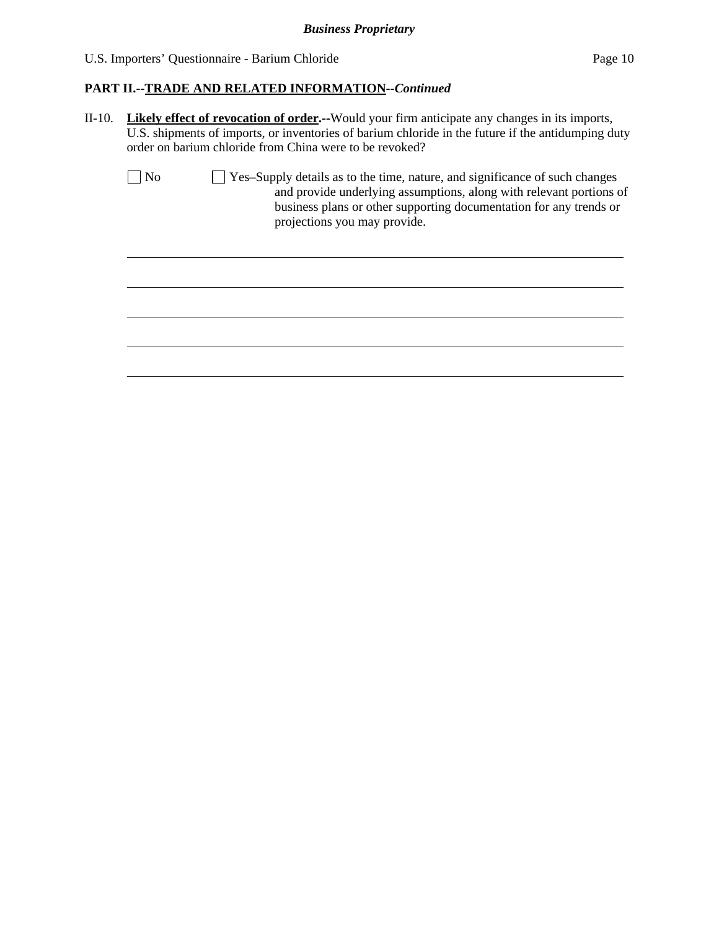$\overline{a}$ 

# **PART II.--TRADE AND RELATED INFORMATION***--Continued*

II-10. **Likely effect of revocation of order.--**Would your firm anticipate any changes in its imports, U.S. shipments of imports, or inventories of barium chloride in the future if the antidumping duty order on barium chloride from China were to be revoked?

| $\vert$   No | $\vert$ Yes-Supply details as to the time, nature, and significance of such changes |
|--------------|-------------------------------------------------------------------------------------|
|              | and provide underlying assumptions, along with relevant portions of                 |
|              | business plans or other supporting documentation for any trends or                  |
|              | projections you may provide.                                                        |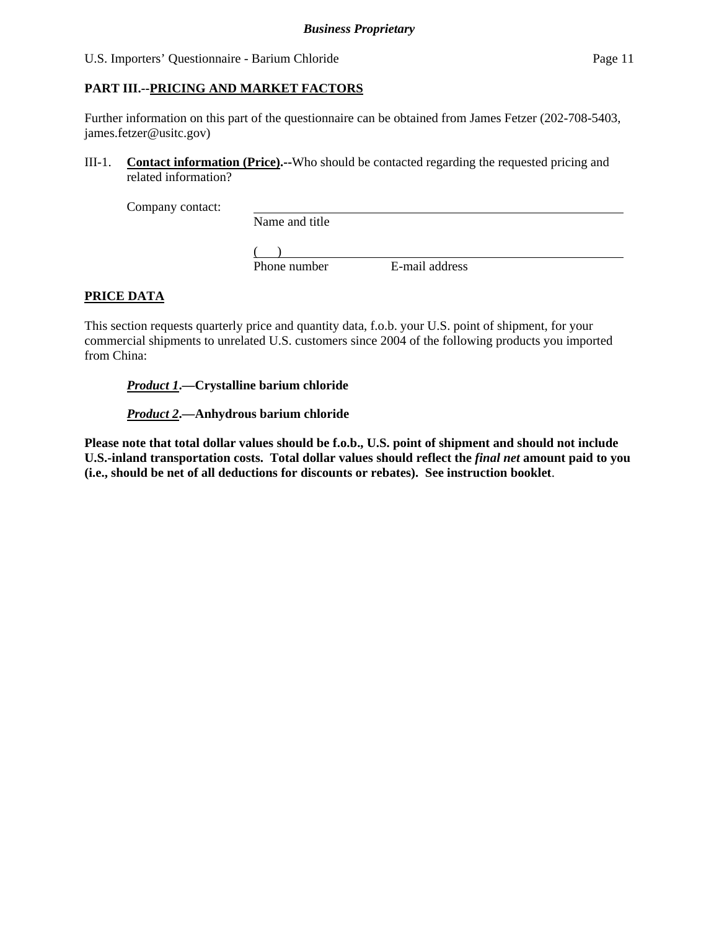# **PART III.--PRICING AND MARKET FACTORS**

Further information on this part of the questionnaire can be obtained from James Fetzer (202-708-5403, james.fetzer@usitc.gov)

III-1. **Contact information (Price).--**Who should be contacted regarding the requested pricing and related information?

Company contact:

Name and title

 $($ 

Phone number E-mail address

# **PRICE DATA**

This section requests quarterly price and quantity data, f.o.b. your U.S. point of shipment, for your commercial shipments to unrelated U.S. customers since 2004 of the following products you imported from China:

*Product 1***.—Crystalline barium chloride** 

*Product 2***.—Anhydrous barium chloride** 

**Please note that total dollar values should be f.o.b., U.S. point of shipment and should not include U.S.-inland transportation costs. Total dollar values should reflect the** *final net* **amount paid to you (i.e., should be net of all deductions for discounts or rebates). See instruction booklet**.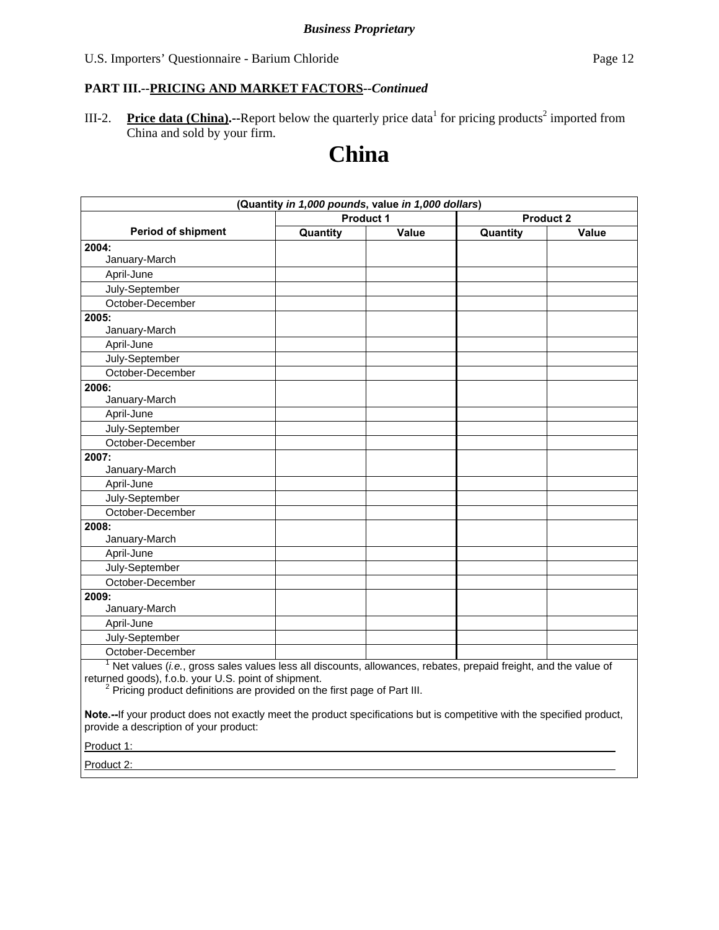III-2. Price data (China).--Report below the quarterly price data<sup>1</sup> for pricing products<sup>2</sup> imported from China and sold by your firm.

# **China**

|                                                                                                                 | (Quantity in 1,000 pounds, value in 1,000 dollars) |       |                  |       |
|-----------------------------------------------------------------------------------------------------------------|----------------------------------------------------|-------|------------------|-------|
|                                                                                                                 | Product 1                                          |       | <b>Product 2</b> |       |
| <b>Period of shipment</b>                                                                                       | Quantity                                           | Value | Quantity         | Value |
| 2004:                                                                                                           |                                                    |       |                  |       |
| January-March                                                                                                   |                                                    |       |                  |       |
| April-June                                                                                                      |                                                    |       |                  |       |
| July-September                                                                                                  |                                                    |       |                  |       |
| October-December                                                                                                |                                                    |       |                  |       |
| 2005:                                                                                                           |                                                    |       |                  |       |
| January-March                                                                                                   |                                                    |       |                  |       |
| April-June                                                                                                      |                                                    |       |                  |       |
| July-September                                                                                                  |                                                    |       |                  |       |
| October-December                                                                                                |                                                    |       |                  |       |
| 2006:                                                                                                           |                                                    |       |                  |       |
| January-March                                                                                                   |                                                    |       |                  |       |
| April-June                                                                                                      |                                                    |       |                  |       |
| July-September                                                                                                  |                                                    |       |                  |       |
| October-December                                                                                                |                                                    |       |                  |       |
| 2007:                                                                                                           |                                                    |       |                  |       |
| January-March                                                                                                   |                                                    |       |                  |       |
| April-June                                                                                                      |                                                    |       |                  |       |
| July-September                                                                                                  |                                                    |       |                  |       |
| October-December                                                                                                |                                                    |       |                  |       |
| 2008:                                                                                                           |                                                    |       |                  |       |
| January-March                                                                                                   |                                                    |       |                  |       |
| April-June                                                                                                      |                                                    |       |                  |       |
| July-September                                                                                                  |                                                    |       |                  |       |
| October-December                                                                                                |                                                    |       |                  |       |
| 2009:                                                                                                           |                                                    |       |                  |       |
| January-March                                                                                                   |                                                    |       |                  |       |
| April-June                                                                                                      |                                                    |       |                  |       |
| July-September                                                                                                  |                                                    |       |                  |       |
| October-December                                                                                                |                                                    |       |                  |       |
| Net values (i.e., gross sales values less all discounts, allowances, rebates, prepaid freight, and the value of |                                                    |       |                  |       |

returned goods), f.o.b. your U.S. point of shipment.<br><sup>2</sup> Pricing product definitions are provided on the first page of Part III.

**Note.--**If your product does not exactly meet the product specifications but is competitive with the specified product, provide a description of your product:

Product 1:

Product 2: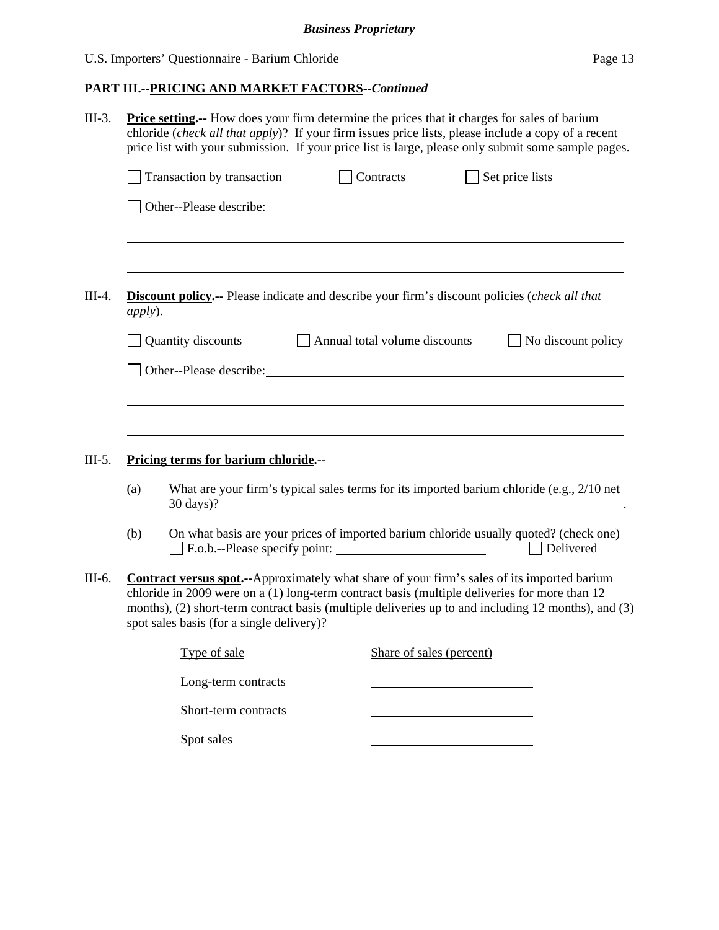# **PART III.--PRICING AND MARKET FACTORS***--Continued*

| $III-3.$ |                    | <b>Price setting.</b> -- How does your firm determine the prices that it charges for sales of barium<br>chloride (check all that apply)? If your firm issues price lists, please include a copy of a recent<br>price list with your submission. If your price list is large, please only submit some sample pages.                                       |                               |                    |  |
|----------|--------------------|----------------------------------------------------------------------------------------------------------------------------------------------------------------------------------------------------------------------------------------------------------------------------------------------------------------------------------------------------------|-------------------------------|--------------------|--|
|          |                    | Transaction by transaction                                                                                                                                                                                                                                                                                                                               | $\Box$ Contracts              | Set price lists    |  |
|          |                    |                                                                                                                                                                                                                                                                                                                                                          |                               |                    |  |
| $III-4.$ | <i>apply</i> ).    | <b>Discount policy.--</b> Please indicate and describe your firm's discount policies (check all that                                                                                                                                                                                                                                                     |                               |                    |  |
|          | Quantity discounts |                                                                                                                                                                                                                                                                                                                                                          | Annual total volume discounts | No discount policy |  |
|          |                    |                                                                                                                                                                                                                                                                                                                                                          |                               |                    |  |
| $III-5.$ | (a)                | Pricing terms for barium chloride.--<br>What are your firm's typical sales terms for its imported barium chloride (e.g., 2/10 net                                                                                                                                                                                                                        |                               |                    |  |
|          |                    | $30 \text{ days}$ )?                                                                                                                                                                                                                                                                                                                                     |                               |                    |  |
|          | (b)                | On what basis are your prices of imported barium chloride usually quoted? (check one)<br>F.o.b.--Please specify point:                                                                                                                                                                                                                                   |                               | Delivered          |  |
| III-6.   |                    | <b>Contract versus spot.</b> --Approximately what share of your firm's sales of its imported barium<br>chloride in 2009 were on a (1) long-term contract basis (multiple deliveries for more than 12<br>months), (2) short-term contract basis (multiple deliveries up to and including 12 months), and (3)<br>spot sales basis (for a single delivery)? |                               |                    |  |
|          |                    | Type of sale                                                                                                                                                                                                                                                                                                                                             | Share of sales (percent)      |                    |  |
|          |                    | Long-term contracts                                                                                                                                                                                                                                                                                                                                      |                               |                    |  |
|          |                    | Short-term contracts                                                                                                                                                                                                                                                                                                                                     |                               |                    |  |
|          |                    | Spot sales                                                                                                                                                                                                                                                                                                                                               |                               |                    |  |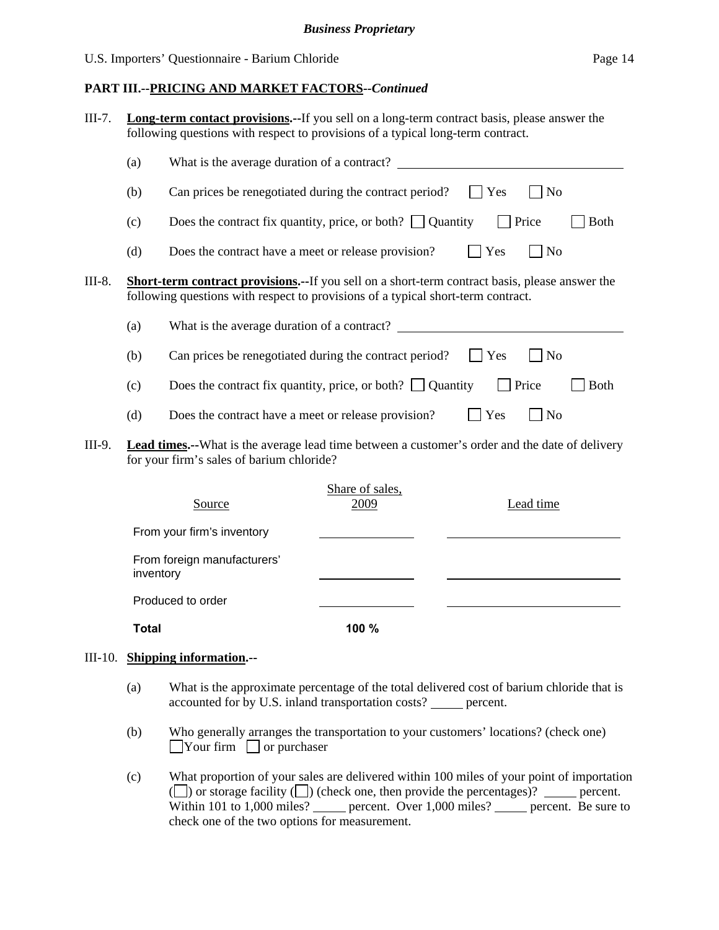|        |     | <b>Long-term contact provisions.</b> --If you sell on a long-term contract basis, please answer the<br>following questions with respect to provisions of a typical long-term contract.     |
|--------|-----|--------------------------------------------------------------------------------------------------------------------------------------------------------------------------------------------|
|        | (a) | What is the average duration of a contract?                                                                                                                                                |
|        | (b) | Can prices be renegotiated during the contract period?<br>$\Box$ Yes<br>N <sub>o</sub>                                                                                                     |
|        | (c) | Does the contract fix quantity, price, or both? $\Box$ Quantity<br>$\vert$ Price<br><b>Both</b>                                                                                            |
|        | (d) | Yes<br>$\overline{\phantom{a}}$ No<br>Does the contract have a meet or release provision?                                                                                                  |
| III-8. |     | <b>Short-term contract provisions.--</b> If you sell on a short-term contract basis, please answer the<br>following questions with respect to provisions of a typical short-term contract. |
|        | (a) | What is the average duration of a contract?                                                                                                                                                |
|        | (b) | Can prices be renegotiated during the contract period?<br>$\mathbf{Yes}$<br>$ $ No                                                                                                         |
|        | (c) | Does the contract fix quantity, price, or both? $\Box$ Quantity<br>Price<br>Both                                                                                                           |
|        | (d) | Yes<br>Does the contract have a meet or release provision?<br>$ $ No                                                                                                                       |
| III-9. |     | <b>Lead times.</b> --What is the average lead time between a customer's order and the date of delivery<br>for your firm's sales of barium chloride?                                        |

| Source                                   | Share of sales,<br>2009 | Lead time |
|------------------------------------------|-------------------------|-----------|
| From your firm's inventory               |                         |           |
| From foreign manufacturers'<br>inventory |                         |           |
| Produced to order                        |                         |           |
| <b>Total</b>                             | 100 %                   |           |

#### III-10. **Shipping information.--**

- (a) What is the approximate percentage of the total delivered cost of barium chloride that is accounted for by U.S. inland transportation costs? \_\_\_\_\_ percent.
- (b) Who generally arranges the transportation to your customers' locations? (check one)  $\Box$ Your firm  $\Box$  or purchaser
- (c) What proportion of your sales are delivered within 100 miles of your point of importation ( $\Box$ ) or storage facility  $\Box$ ) (check one, then provide the percentages)?  $\Box$  percent. Within 101 to 1,000 miles? percent. Over  $1,000$  miles? percent. Be sure to check one of the two options for measurement.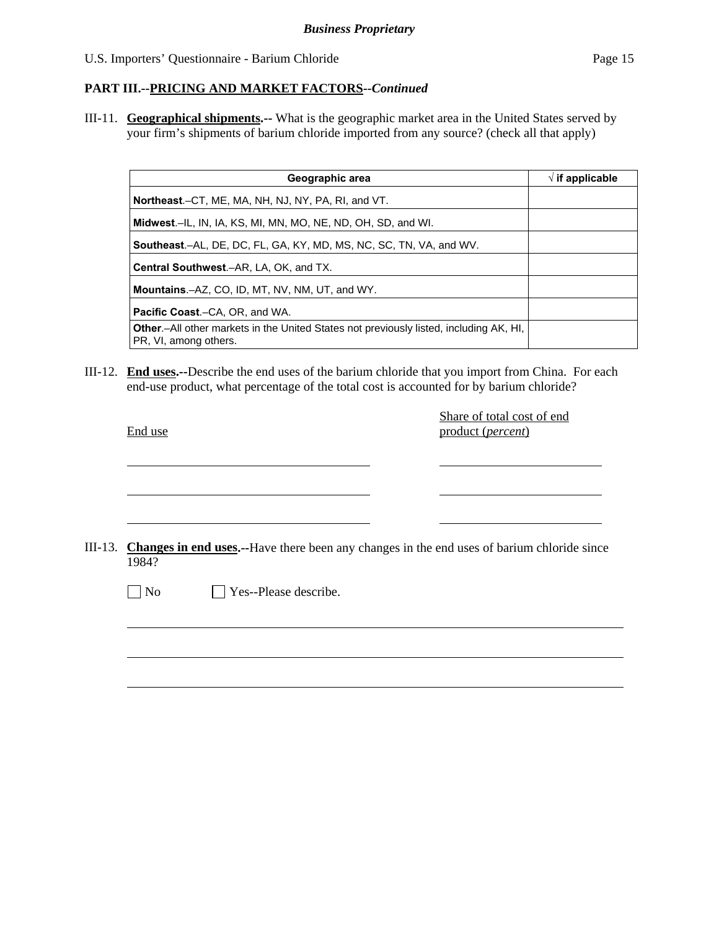III-11. **Geographical shipments.--** What is the geographic market area in the United States served by your firm's shipments of barium chloride imported from any source? (check all that apply)

| Geographic area                                                                                                         | $\sqrt{ }$ if applicable |
|-------------------------------------------------------------------------------------------------------------------------|--------------------------|
| Northeast.-CT, ME, MA, NH, NJ, NY, PA, RI, and VT.                                                                      |                          |
| Midwest.-IL, IN, IA, KS, MI, MN, MO, NE, ND, OH, SD, and WI.                                                            |                          |
| <b>Southeast.–AL, DE, DC, FL, GA, KY, MD, MS, NC, SC, TN, VA, and WV.</b>                                               |                          |
| <b>Central Southwest.–AR, LA, OK, and TX.</b>                                                                           |                          |
| <b>Mountains.-AZ, CO, ID, MT, NV, NM, UT, and WY.</b>                                                                   |                          |
| <b>Pacific Coast.–CA, OR, and WA.</b>                                                                                   |                          |
| <b>Other</b> - All other markets in the United States not previously listed, including AK, HI,<br>PR, VI, among others. |                          |

III-12. **End uses.--**Describe the end uses of the barium chloride that you import from China. For each end-use product, what percentage of the total cost is accounted for by barium chloride?

|         | End use                                                                                    | Share of total cost of end<br>product (percent) |
|---------|--------------------------------------------------------------------------------------------|-------------------------------------------------|
|         |                                                                                            |                                                 |
| III-13. | Changes in end uses.--Have there been any changes in the end uses of barium chloride since |                                                 |
|         | 1984?<br>$\neg$ No<br>Yes--Please describe.                                                |                                                 |
|         |                                                                                            |                                                 |
|         |                                                                                            |                                                 |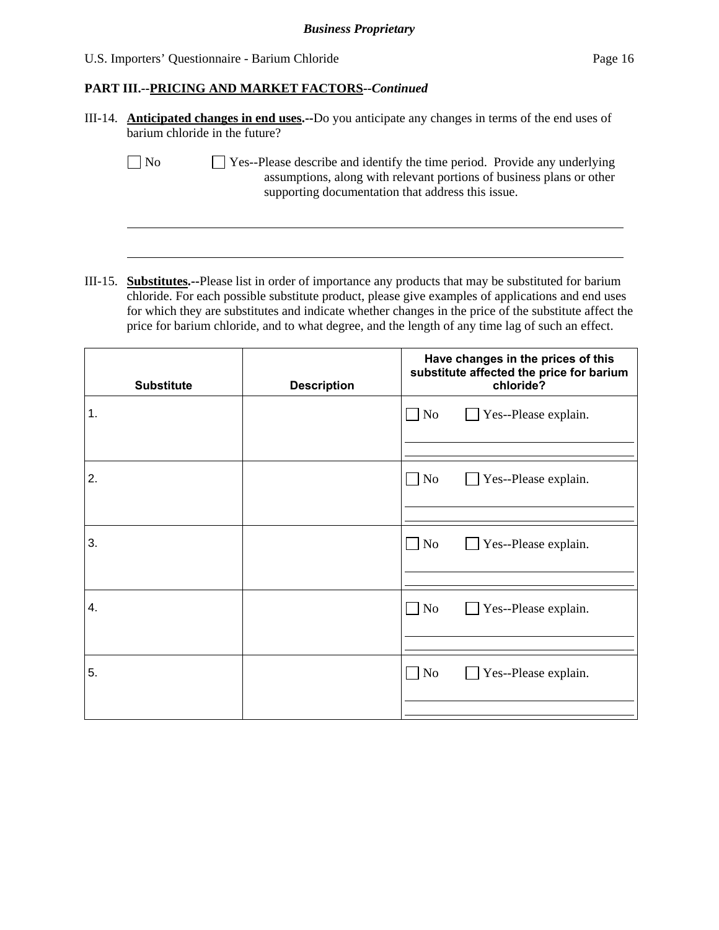### **PART III.--PRICING AND MARKET FACTORS***--Continued*

| III-14. <b>Anticipated changes in end uses.</b> --Do you anticipate any changes in terms of the end uses of |
|-------------------------------------------------------------------------------------------------------------|
| barium chloride in the future?                                                                              |

 $\overline{a}$ 

 $\Box$  No  $\Box$  Yes--Please describe and identify the time period. Provide any underlying assumptions, along with relevant portions of business plans or other supporting documentation that address this issue.

III-15. **Substitutes.--**Please list in order of importance any products that may be substituted for barium chloride. For each possible substitute product, please give examples of applications and end uses for which they are substitutes and indicate whether changes in the price of the substitute affect the price for barium chloride, and to what degree, and the length of any time lag of such an effect.

| <b>Substitute</b> | <b>Description</b> | Have changes in the prices of this<br>substitute affected the price for barium<br>chloride? |
|-------------------|--------------------|---------------------------------------------------------------------------------------------|
| 1.                |                    | $\Box$ No<br>Yes--Please explain.                                                           |
| 2.                |                    | $\Box$ No<br>Yes--Please explain.                                                           |
| 3.                |                    | $\Box$ No<br>Yes--Please explain.                                                           |
| 4.                |                    | $\Box$ No<br>Yes--Please explain.                                                           |
| 5.                |                    | Yes--Please explain.<br>$\Box$ No                                                           |
|                   |                    |                                                                                             |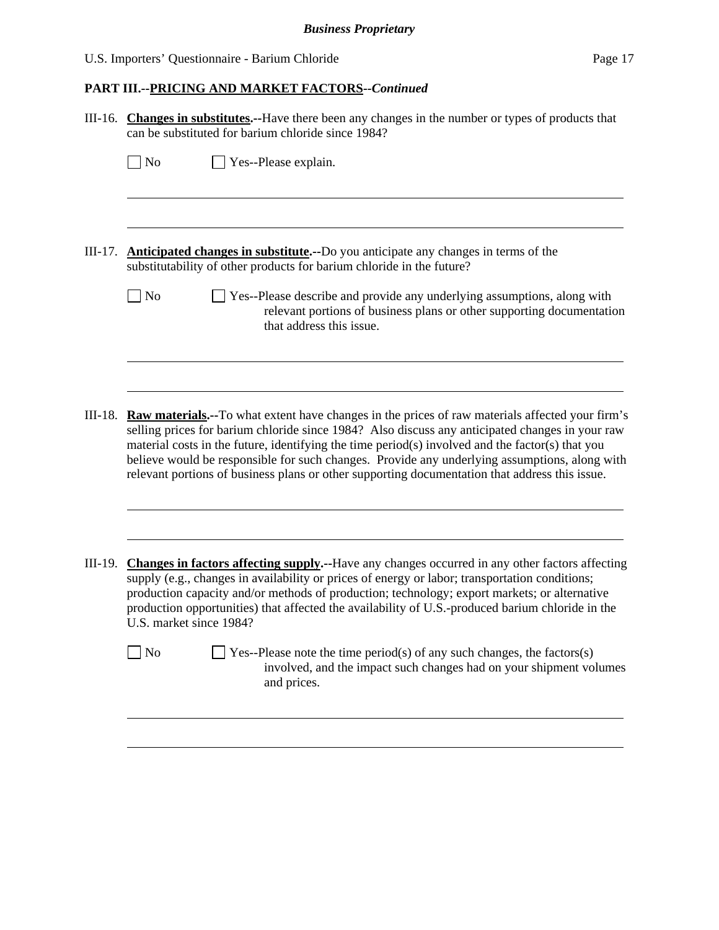# **PART III.--PRICING AND MARKET FACTORS***--Continued*

|           | III-16. Changes in substitutes.--Have there been any changes in the number or types of products that<br>can be substituted for barium chloride since 1984?                                                                                                                                                                                                                                                                                                                                                        |
|-----------|-------------------------------------------------------------------------------------------------------------------------------------------------------------------------------------------------------------------------------------------------------------------------------------------------------------------------------------------------------------------------------------------------------------------------------------------------------------------------------------------------------------------|
|           | $\Box$ No<br>Yes--Please explain.                                                                                                                                                                                                                                                                                                                                                                                                                                                                                 |
|           |                                                                                                                                                                                                                                                                                                                                                                                                                                                                                                                   |
| $III-17.$ | <b>Anticipated changes in substitute.</b> --Do you anticipate any changes in terms of the<br>substitutability of other products for barium chloride in the future?                                                                                                                                                                                                                                                                                                                                                |
|           | $\sqrt{\phantom{a}}$ No<br>Yes--Please describe and provide any underlying assumptions, along with<br>relevant portions of business plans or other supporting documentation<br>that address this issue.                                                                                                                                                                                                                                                                                                           |
|           |                                                                                                                                                                                                                                                                                                                                                                                                                                                                                                                   |
| III-18.   | <b>Raw materials.</b> --To what extent have changes in the prices of raw materials affected your firm's<br>selling prices for barium chloride since 1984? Also discuss any anticipated changes in your raw<br>material costs in the future, identifying the time period(s) involved and the factor(s) that you<br>believe would be responsible for such changes. Provide any underlying assumptions, along with<br>relevant portions of business plans or other supporting documentation that address this issue. |
|           |                                                                                                                                                                                                                                                                                                                                                                                                                                                                                                                   |
| III-19.   | <b>Changes in factors affecting supply.</b> --Have any changes occurred in any other factors affecting<br>supply (e.g., changes in availability or prices of energy or labor; transportation conditions;<br>production capacity and/or methods of production; technology; export markets; or alternative<br>production opportunities) that affected the availability of U.S.-produced barium chloride in the<br>U.S. market since 1984?                                                                           |
|           | Yes--Please note the time period(s) of any such changes, the factors(s)<br>N <sub>o</sub><br>involved, and the impact such changes had on your shipment volumes<br>and prices.                                                                                                                                                                                                                                                                                                                                    |
|           |                                                                                                                                                                                                                                                                                                                                                                                                                                                                                                                   |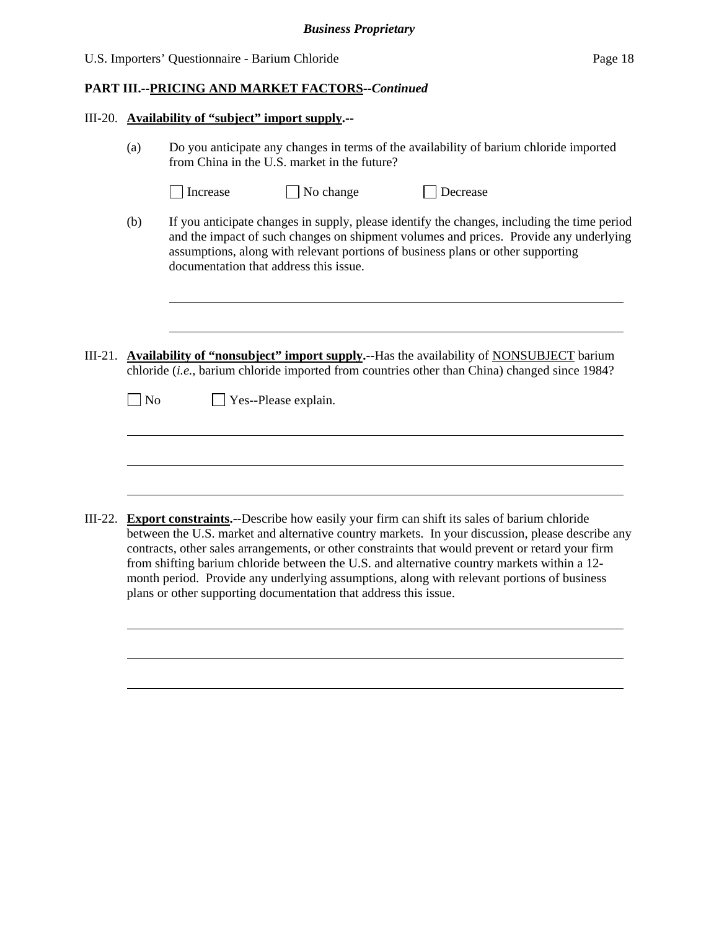| U.S. Importers' Questionnaire - Barium Chloride | Page 18 |
|-------------------------------------------------|---------|
|-------------------------------------------------|---------|

#### III-20. **Availability of "subject" import supply.--**

- (a) Do you anticipate any changes in terms of the availability of barium chloride imported from China in the U.S. market in the future?
	- $\Box$  Increase  $\Box$  No change  $\Box$  Decrease

l

 $\overline{a}$ 

l

- (b) If you anticipate changes in supply, please identify the changes, including the time period and the impact of such changes on shipment volumes and prices. Provide any underlying assumptions, along with relevant portions of business plans or other supporting documentation that address this issue.
- III-21. **Availability of "nonsubject" import supply.--**Has the availability of NONSUBJECT barium chloride (*i.e.,* barium chloride imported from countries other than China) changed since 1984?

No Yes--Please explain.

III-22. **Export constraints.--**Describe how easily your firm can shift its sales of barium chloride between the U.S. market and alternative country markets. In your discussion, please describe any contracts, other sales arrangements, or other constraints that would prevent or retard your firm from shifting barium chloride between the U.S. and alternative country markets within a 12 month period. Provide any underlying assumptions, along with relevant portions of business plans or other supporting documentation that address this issue.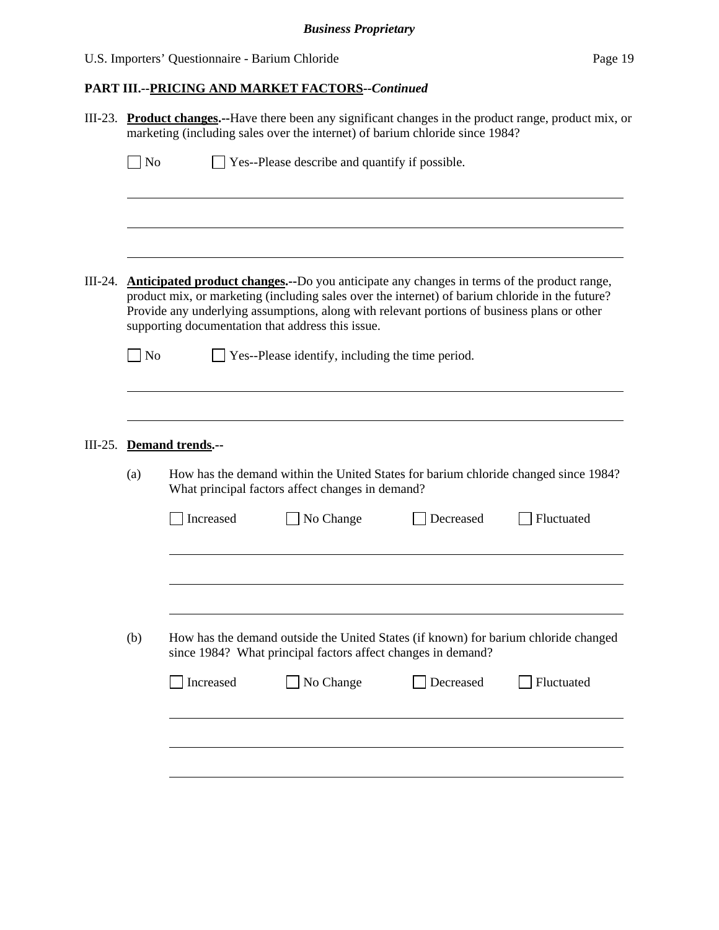# *Business Proprietary*

# U.S. Importers' Questionnaire - Barium Chloride Page 19

# **PART III.--PRICING AND MARKET FACTORS***--Continued*

| No  |                         | Yes--Please describe and quantify if possible.                                                                                                                                                                                                                                                                                                            |           |            |
|-----|-------------------------|-----------------------------------------------------------------------------------------------------------------------------------------------------------------------------------------------------------------------------------------------------------------------------------------------------------------------------------------------------------|-----------|------------|
|     |                         |                                                                                                                                                                                                                                                                                                                                                           |           |            |
|     |                         |                                                                                                                                                                                                                                                                                                                                                           |           |            |
|     |                         | <b>Anticipated product changes.</b> --Do you anticipate any changes in terms of the product range,<br>product mix, or marketing (including sales over the internet) of barium chloride in the future?<br>Provide any underlying assumptions, along with relevant portions of business plans or other<br>supporting documentation that address this issue. |           |            |
| No  |                         | Yes--Please identify, including the time period.                                                                                                                                                                                                                                                                                                          |           |            |
|     |                         |                                                                                                                                                                                                                                                                                                                                                           |           |            |
|     |                         |                                                                                                                                                                                                                                                                                                                                                           |           |            |
|     |                         |                                                                                                                                                                                                                                                                                                                                                           |           |            |
|     | <b>Demand trends.--</b> |                                                                                                                                                                                                                                                                                                                                                           |           |            |
| (a) |                         | How has the demand within the United States for barium chloride changed since 1984?<br>What principal factors affect changes in demand?                                                                                                                                                                                                                   |           |            |
|     | Increased               | No Change                                                                                                                                                                                                                                                                                                                                                 | Decreased | Fluctuated |
|     |                         |                                                                                                                                                                                                                                                                                                                                                           |           |            |
|     |                         |                                                                                                                                                                                                                                                                                                                                                           |           |            |
|     |                         |                                                                                                                                                                                                                                                                                                                                                           |           |            |
| (b) |                         | How has the demand outside the United States (if known) for barium chloride changed<br>since 1984? What principal factors affect changes in demand?                                                                                                                                                                                                       |           |            |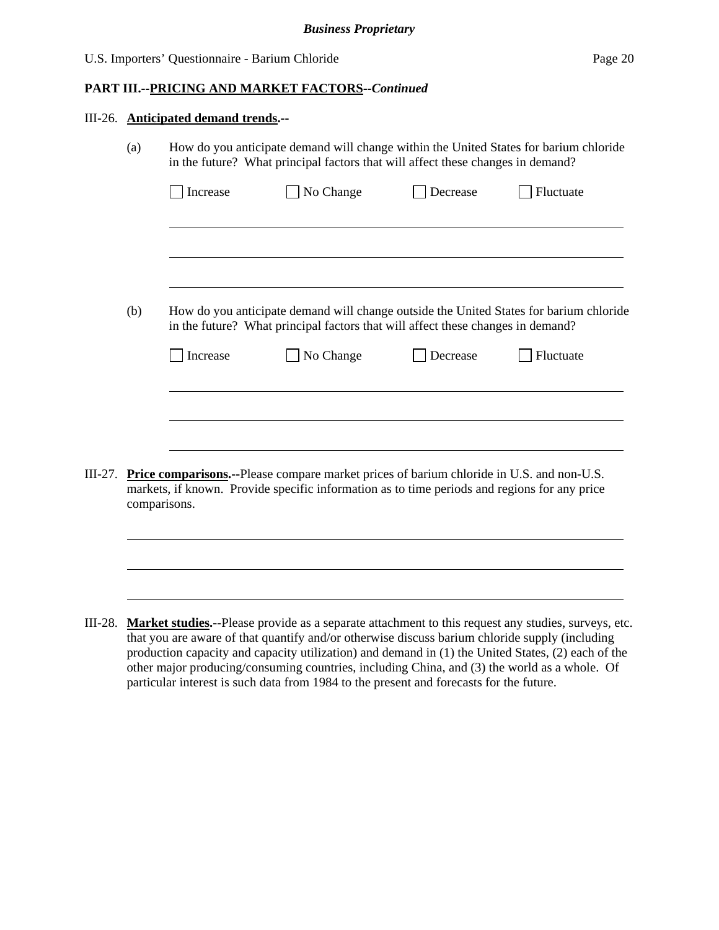|           | III-26. Anticipated demand trends.-- |                                                                                                                                                                                                                  |           |          |           |  |  |  |
|-----------|--------------------------------------|------------------------------------------------------------------------------------------------------------------------------------------------------------------------------------------------------------------|-----------|----------|-----------|--|--|--|
|           | (a)                                  | How do you anticipate demand will change within the United States for barium chloride<br>in the future? What principal factors that will affect these changes in demand?                                         |           |          |           |  |  |  |
|           |                                      | Increase                                                                                                                                                                                                         | No Change | Decrease | Fluctuate |  |  |  |
|           |                                      |                                                                                                                                                                                                                  |           |          |           |  |  |  |
|           | (b)                                  | How do you anticipate demand will change outside the United States for barium chloride<br>in the future? What principal factors that will affect these changes in demand?                                        |           |          |           |  |  |  |
|           |                                      | Increase                                                                                                                                                                                                         | No Change | Decrease | Fluctuate |  |  |  |
|           |                                      |                                                                                                                                                                                                                  |           |          |           |  |  |  |
| $III-27.$ |                                      | <b>Price comparisons.</b> --Please compare market prices of barium chloride in U.S. and non-U.S.<br>markets, if known. Provide specific information as to time periods and regions for any price<br>comparisons. |           |          |           |  |  |  |
|           |                                      |                                                                                                                                                                                                                  |           |          |           |  |  |  |
|           |                                      |                                                                                                                                                                                                                  |           |          |           |  |  |  |

III-28. **Market studies.--**Please provide as a separate attachment to this request any studies, surveys, etc. that you are aware of that quantify and/or otherwise discuss barium chloride supply (including production capacity and capacity utilization) and demand in (1) the United States, (2) each of the other major producing/consuming countries, including China, and (3) the world as a whole. Of particular interest is such data from 1984 to the present and forecasts for the future.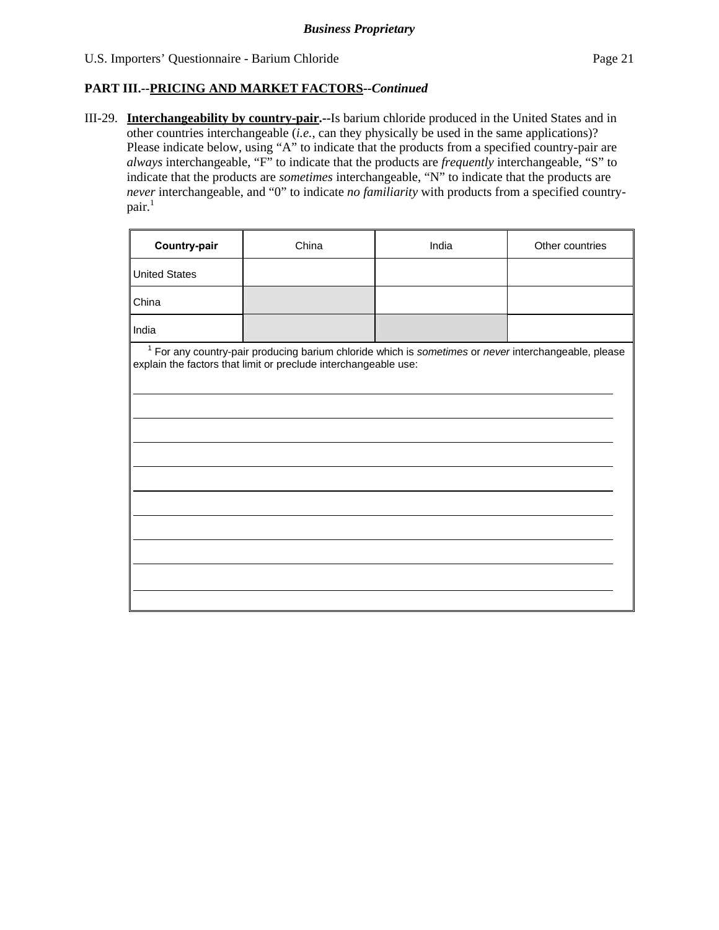III-29. **Interchangeability by country-pair.--**Is barium chloride produced in the United States and in other countries interchangeable (*i.e.*, can they physically be used in the same applications)? Please indicate below, using "A" to indicate that the products from a specified country-pair are *always* interchangeable, "F" to indicate that the products are *frequently* interchangeable, "S" to indicate that the products are *sometimes* interchangeable, "N" to indicate that the products are *never* interchangeable, and "0" to indicate *no familiarity* with products from a specified country $pair.<sup>1</sup>$ 

| Country-pair                                                                                                                                                              | China | India | Other countries |  |  |  |  |  |
|---------------------------------------------------------------------------------------------------------------------------------------------------------------------------|-------|-------|-----------------|--|--|--|--|--|
| <b>United States</b>                                                                                                                                                      |       |       |                 |  |  |  |  |  |
| China                                                                                                                                                                     |       |       |                 |  |  |  |  |  |
| India                                                                                                                                                                     |       |       |                 |  |  |  |  |  |
| $1$ For any country-pair producing barium chloride which is sometimes or never interchangeable, please<br>explain the factors that limit or preclude interchangeable use: |       |       |                 |  |  |  |  |  |
|                                                                                                                                                                           |       |       |                 |  |  |  |  |  |
|                                                                                                                                                                           |       |       |                 |  |  |  |  |  |